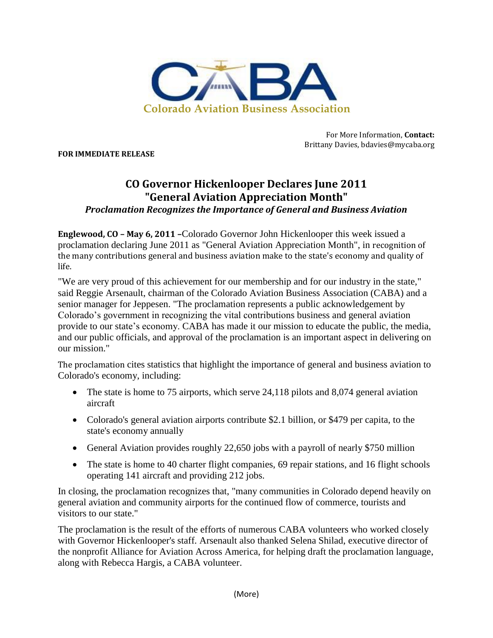

**FOR IMMEDIATE RELEASE**

For More Information, **Contact:** Brittany Davies, bdavies@mycaba.org

## **CO Governor Hickenlooper Declares June 2011 "General Aviation Appreciation Month"** *Proclamation Recognizes the Importance of General and Business Aviation*

**Englewood, CO – May 6, 2011 –**Colorado Governor John Hickenlooper this week issued a proclamation declaring June 2011 as "General Aviation Appreciation Month", in recognition of the many contributions general and business aviation make to the state's economy and quality of life.

"We are very proud of this achievement for our membership and for our industry in the state," said Reggie Arsenault, chairman of the Colorado Aviation Business Association (CABA) and a senior manager for Jeppesen. "The proclamation represents a public acknowledgement by Colorado's government in recognizing the vital contributions business and general aviation provide to our state's economy. CABA has made it our mission to educate the public, the media, and our public officials, and approval of the proclamation is an important aspect in delivering on our mission."

The proclamation cites statistics that highlight the importance of general and business aviation to Colorado's economy, including:

- The state is home to 75 airports, which serve 24,118 pilots and 8,074 general aviation aircraft
- Colorado's general aviation airports contribute \$2.1 billion, or \$479 per capita, to the state's economy annually
- General Aviation provides roughly 22,650 jobs with a payroll of nearly \$750 million
- The state is home to 40 charter flight companies, 69 repair stations, and 16 flight schools operating 141 aircraft and providing 212 jobs.

In closing, the proclamation recognizes that, "many communities in Colorado depend heavily on general aviation and community airports for the continued flow of commerce, tourists and visitors to our state."

The proclamation is the result of the efforts of numerous CABA volunteers who worked closely with Governor Hickenlooper's staff. Arsenault also thanked Selena Shilad, executive director of the nonprofit Alliance for Aviation Across America, for helping draft the proclamation language, along with Rebecca Hargis, a CABA volunteer.